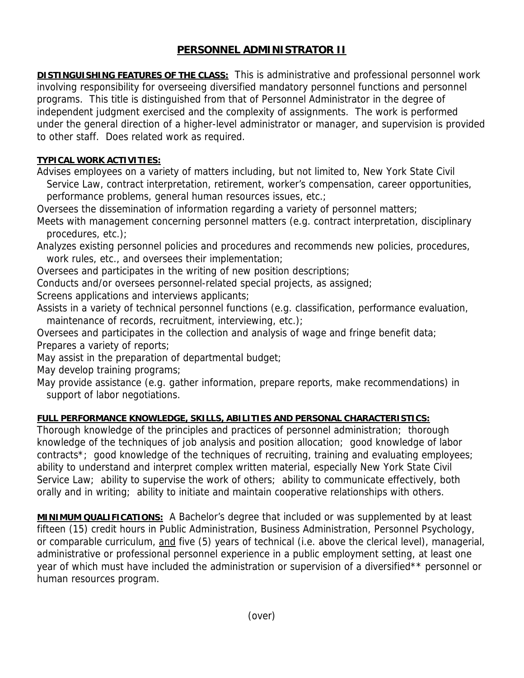## **PERSONNEL ADMINISTRATOR II**

**DISTINGUISHING FEATURES OF THE CLASS:** This is administrative and professional personnel work involving responsibility for overseeing diversified mandatory personnel functions and personnel programs. This title is distinguished from that of Personnel Administrator in the degree of independent judgment exercised and the complexity of assignments. The work is performed under the general direction of a higher-level administrator or manager, and supervision is provided to other staff. Does related work as required.

## **TYPICAL WORK ACTIVITIES:**

Advises employees on a variety of matters including, but not limited to, New York State Civil Service Law, contract interpretation, retirement, worker's compensation, career opportunities, performance problems, general human resources issues, etc.;

Oversees the dissemination of information regarding a variety of personnel matters;

Meets with management concerning personnel matters (e.g. contract interpretation, disciplinary procedures, etc.);

Analyzes existing personnel policies and procedures and recommends new policies, procedures, work rules, etc., and oversees their implementation;

Oversees and participates in the writing of new position descriptions;

Conducts and/or oversees personnel-related special projects, as assigned;

Screens applications and interviews applicants;

Assists in a variety of technical personnel functions (e.g. classification, performance evaluation, maintenance of records, recruitment, interviewing, etc.);

Oversees and participates in the collection and analysis of wage and fringe benefit data; Prepares a variety of reports;

May assist in the preparation of departmental budget;

May develop training programs;

May provide assistance (e.g. gather information, prepare reports, make recommendations) in support of labor negotiations.

## **FULL PERFORMANCE KNOWLEDGE, SKILLS, ABILITIES AND PERSONAL CHARACTERISTICS:**

Thorough knowledge of the principles and practices of personnel administration; thorough knowledge of the techniques of job analysis and position allocation; good knowledge of labor contracts\*; good knowledge of the techniques of recruiting, training and evaluating employees; ability to understand and interpret complex written material, especially New York State Civil Service Law; ability to supervise the work of others; ability to communicate effectively, both orally and in writing; ability to initiate and maintain cooperative relationships with others.

**MINIMUM QUALIFICATIONS:** A Bachelor's degree that included or was supplemented by at least fifteen (15) credit hours in Public Administration, Business Administration, Personnel Psychology, or comparable curriculum, and five (5) years of technical (i.e. above the clerical level), managerial, administrative or professional personnel experience in a public employment setting, at least one year of which must have included the administration or supervision of a diversified\*\* personnel or human resources program.